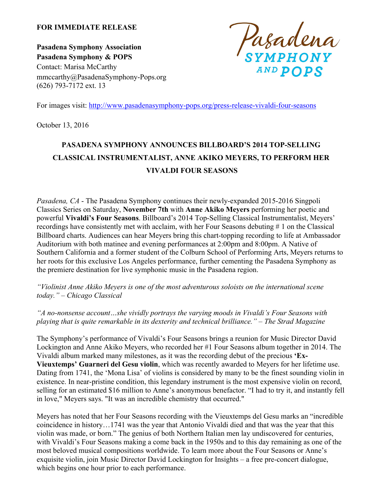# **FOR IMMEDIATE RELEASE**

**Pasadena Symphony Association Pasadena Symphony & POPS** Contact: Marisa McCarthy mmccarthy@PasadenaSymphony-Pops.org (626) 793-7172 ext. 13

Pasadena AND DODS

For images visit: http://www.pasadenasymphony-pops.org/press-release-vivaldi-four-seasons

October 13, 2016

# **PASADENA SYMPHONY ANNOUNCES BILLBOARD'S 2014 TOP-SELLING CLASSICAL INSTRUMENTALIST, ANNE AKIKO MEYERS, TO PERFORM HER VIVALDI FOUR SEASONS**

*Pasadena, CA* - The Pasadena Symphony continues their newly-expanded 2015-2016 Singpoli Classics Series on Saturday, **November 7th** with **Anne Akiko Meyers** performing her poetic and powerful **Vivaldi's Four Seasons**. Billboard's 2014 Top-Selling Classical Instrumentalist, Meyers' recordings have consistently met with acclaim, with her Four Seasons debuting # 1 on the Classical Billboard charts. Audiences can hear Meyers bring this chart-topping recording to life at Ambassador Auditorium with both matinee and evening performances at 2:00pm and 8:00pm. A Native of Southern California and a former student of the Colburn School of Performing Arts, Meyers returns to her roots for this exclusive Los Angeles performance, further cementing the Pasadena Symphony as the premiere destination for live symphonic music in the Pasadena region.

*"Violinist Anne Akiko Meyers is one of the most adventurous soloists on the international scene today." – Chicago Classical*

*"A no-nonsense account…she vividly portrays the varying moods in Vivaldi's Four Seasons with playing that is quite remarkable in its dexterity and technical brilliance." – The Strad Magazine*

The Symphony's performance of Vivaldi's Four Seasons brings a reunion for Music Director David Lockington and Anne Akiko Meyers, who recorded her #1 Four Seasons album together in 2014. The Vivaldi album marked many milestones, as it was the recording debut of the precious **'Ex-Vieuxtemps' Guarneri del Gesu violin**, which was recently awarded to Meyers for her lifetime use. Dating from 1741, the 'Mona Lisa' of violins is considered by many to be the finest sounding violin in existence. In near-pristine condition, this legendary instrument is the most expensive violin on record, selling for an estimated \$16 million to Anne's anonymous benefactor. "I had to try it, and instantly fell in love," Meyers says. "It was an incredible chemistry that occurred."

Meyers has noted that her Four Seasons recording with the Vieuxtemps del Gesu marks an "incredible coincidence in history…1741 was the year that Antonio Vivaldi died and that was the year that this violin was made, or born." The genius of both Northern Italian men lay undiscovered for centuries, with Vivaldi's Four Seasons making a come back in the 1950s and to this day remaining as one of the most beloved musical compositions worldwide. To learn more about the Four Seasons or Anne's exquisite violin, join Music Director David Lockington for Insights – a free pre-concert dialogue, which begins one hour prior to each performance.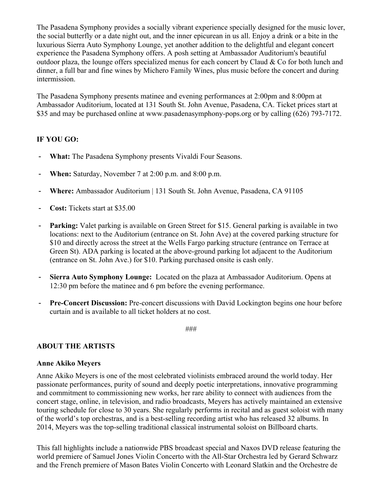The Pasadena Symphony provides a socially vibrant experience specially designed for the music lover, the social butterfly or a date night out, and the inner epicurean in us all. Enjoy a drink or a bite in the luxurious Sierra Auto Symphony Lounge, yet another addition to the delightful and elegant concert experience the Pasadena Symphony offers. A posh setting at Ambassador Auditorium's beautiful outdoor plaza, the lounge offers specialized menus for each concert by Claud  $\&$  Co for both lunch and dinner, a full bar and fine wines by Michero Family Wines, plus music before the concert and during intermission.

The Pasadena Symphony presents matinee and evening performances at 2:00pm and 8:00pm at Ambassador Auditorium, located at 131 South St. John Avenue, Pasadena, CA. Ticket prices start at \$35 and may be purchased online at www.pasadenasymphony-pops.org or by calling (626) 793-7172.

# **IF YOU GO:**

- **What:** The Pasadena Symphony presents Vivaldi Four Seasons.
- **When:** Saturday, November 7 at 2:00 p.m. and 8:00 p.m.
- **Where:** Ambassador Auditorium | 131 South St. John Avenue, Pasadena, CA 91105
- **Cost:** Tickets start at \$35.00
- **Parking:** Valet parking is available on Green Street for \$15. General parking is available in two locations: next to the Auditorium (entrance on St. John Ave) at the covered parking structure for \$10 and directly across the street at the Wells Fargo parking structure (entrance on Terrace at Green St). ADA parking is located at the above-ground parking lot adjacent to the Auditorium (entrance on St. John Ave.) for \$10. Parking purchased onsite is cash only.
- **Sierra Auto Symphony Lounge:** Located on the plaza at Ambassador Auditorium. Opens at 12:30 pm before the matinee and 6 pm before the evening performance.
- **Pre-Concert Discussion:** Pre-concert discussions with David Lockington begins one hour before curtain and is available to all ticket holders at no cost.

###

# **ABOUT THE ARTISTS**

# **Anne Akiko Meyers**

Anne Akiko Meyers is one of the most celebrated violinists embraced around the world today. Her passionate performances, purity of sound and deeply poetic interpretations, innovative programming and commitment to commissioning new works, her rare ability to connect with audiences from the concert stage, online, in television, and radio broadcasts, Meyers has actively maintained an extensive touring schedule for close to 30 years. She regularly performs in recital and as guest soloist with many of the world's top orchestras, and is a best-selling recording artist who has released 32 albums. In 2014, Meyers was the top-selling traditional classical instrumental soloist on Billboard charts.

This fall highlights include a nationwide PBS broadcast special and Naxos DVD release featuring the world premiere of Samuel Jones Violin Concerto with the All-Star Orchestra led by Gerard Schwarz and the French premiere of Mason Bates Violin Concerto with Leonard Slatkin and the Orchestre de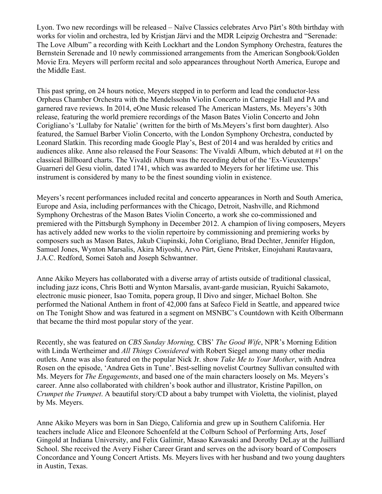Lyon. Two new recordings will be released – Naïve Classics celebrates Arvo Pärt's 80th birthday with works for violin and orchestra, led by Kristjan Järvi and the MDR Leipzig Orchestra and "Serenade: The Love Album" a recording with Keith Lockhart and the London Symphony Orchestra, features the Bernstein Serenade and 10 newly commissioned arrangements from the American Songbook/Golden Movie Era. Meyers will perform recital and solo appearances throughout North America, Europe and the Middle East.

This past spring, on 24 hours notice, Meyers stepped in to perform and lead the conductor-less Orpheus Chamber Orchestra with the Mendelssohn Violin Concerto in Carnegie Hall and PA and garnered rave reviews. In 2014, eOne Music released The American Masters, Ms. Meyers's 30th release, featuring the world premiere recordings of the Mason Bates Violin Concerto and John Corigliano's 'Lullaby for Natalie' (written for the birth of Ms.Meyers's first born daughter). Also featured, the Samuel Barber Violin Concerto, with the London Symphony Orchestra, conducted by Leonard Slatkin. This recording made Google Play's, Best of 2014 and was heralded by critics and audiences alike. Anne also released the Four Seasons: The Vivaldi Album, which debuted at #1 on the classical Billboard charts. The Vivaldi Album was the recording debut of the 'Ex-Vieuxtemps' Guarneri del Gesu violin, dated 1741, which was awarded to Meyers for her lifetime use. This instrument is considered by many to be the finest sounding violin in existence.

Meyers's recent performances included recital and concerto appearances in North and South America, Europe and Asia, including performances with the Chicago, Detroit, Nashville, and Richmond Symphony Orchestras of the Mason Bates Violin Concerto, a work she co-commissioned and premiered with the Pittsburgh Symphony in December 2012. A champion of living composers, Meyers has actively added new works to the violin repertoire by commissioning and premiering works by composers such as Mason Bates, Jakub Ciupinski, John Corigliano, Brad Dechter, Jennifer Higdon, Samuel Jones, Wynton Marsalis, Akira Miyoshi, Arvo Pärt, Gene Pritsker, Einojuhani Rautavaara, J.A.C. Redford, Somei Satoh and Joseph Schwantner.

Anne Akiko Meyers has collaborated with a diverse array of artists outside of traditional classical, including jazz icons, Chris Botti and Wynton Marsalis, avant-garde musician, Ryuichi Sakamoto, electronic music pioneer, Isao Tomita, popera group, Il Divo and singer, Michael Bolton. She performed the National Anthem in front of 42,000 fans at Safeco Field in Seattle, and appeared twice on The Tonight Show and was featured in a segment on MSNBC's Countdown with Keith Olbermann that became the third most popular story of the year.

Recently, she was featured on *CBS Sunday Morning,* CBS' *The Good Wife*, NPR's Morning Edition with Linda Wertheimer and *All Things Considered* with Robert Siegel among many other media outlets. Anne was also featured on the popular Nick Jr. show *Take Me to Your Mother*, with Andrea Rosen on the episode, 'Andrea Gets in Tune'. Best-selling novelist Courtney Sullivan consulted with Ms. Meyers for *The Engagements*, and based one of the main characters loosely on Ms. Meyers's career. Anne also collaborated with children's book author and illustrator, Kristine Papillon, on *Crumpet the Trumpet*. A beautiful story/CD about a baby trumpet with Violetta, the violinist, played by Ms. Meyers.

Anne Akiko Meyers was born in San Diego, California and grew up in Southern California. Her teachers include Alice and Eleonore Schoenfeld at the Colburn School of Performing Arts, Josef Gingold at Indiana University, and Felix Galimir, Masao Kawasaki and Dorothy DeLay at the Juilliard School. She received the Avery Fisher Career Grant and serves on the advisory board of Composers Concordance and Young Concert Artists. Ms. Meyers lives with her husband and two young daughters in Austin, Texas.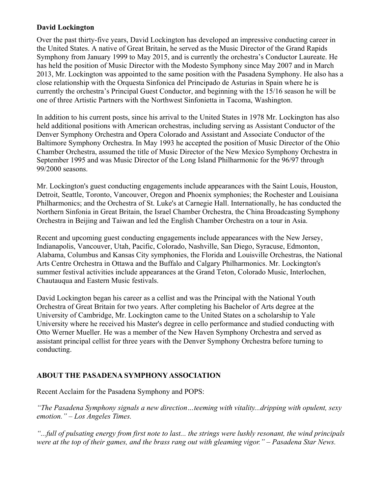# **David Lockington**

Over the past thirty-five years, David Lockington has developed an impressive conducting career in the United States. A native of Great Britain, he served as the Music Director of the Grand Rapids Symphony from January 1999 to May 2015, and is currently the orchestra's Conductor Laureate. He has held the position of Music Director with the Modesto Symphony since May 2007 and in March 2013, Mr. Lockington was appointed to the same position with the Pasadena Symphony. He also has a close relationship with the Orquesta Sinfonica del Principado de Asturias in Spain where he is currently the orchestra's Principal Guest Conductor, and beginning with the 15/16 season he will be one of three Artistic Partners with the Northwest Sinfonietta in Tacoma, Washington.

In addition to his current posts, since his arrival to the United States in 1978 Mr. Lockington has also held additional positions with American orchestras, including serving as Assistant Conductor of the Denver Symphony Orchestra and Opera Colorado and Assistant and Associate Conductor of the Baltimore Symphony Orchestra. In May 1993 he accepted the position of Music Director of the Ohio Chamber Orchestra, assumed the title of Music Director of the New Mexico Symphony Orchestra in September 1995 and was Music Director of the Long Island Philharmonic for the 96/97 through 99/2000 seasons.

Mr. Lockington's guest conducting engagements include appearances with the Saint Louis, Houston, Detroit, Seattle, Toronto, Vancouver, Oregon and Phoenix symphonies; the Rochester and Louisiana Philharmonics; and the Orchestra of St. Luke's at Carnegie Hall. Internationally, he has conducted the Northern Sinfonia in Great Britain, the Israel Chamber Orchestra, the China Broadcasting Symphony Orchestra in Beijing and Taiwan and led the English Chamber Orchestra on a tour in Asia.

Recent and upcoming guest conducting engagements include appearances with the New Jersey, Indianapolis, Vancouver, Utah, Pacific, Colorado, Nashville, San Diego, Syracuse, Edmonton, Alabama, Columbus and Kansas City symphonies, the Florida and Louisville Orchestras, the National Arts Centre Orchestra in Ottawa and the Buffalo and Calgary Philharmonics. Mr. Lockington's summer festival activities include appearances at the Grand Teton, Colorado Music, Interlochen, Chautauqua and Eastern Music festivals.

David Lockington began his career as a cellist and was the Principal with the National Youth Orchestra of Great Britain for two years. After completing his Bachelor of Arts degree at the University of Cambridge, Mr. Lockington came to the United States on a scholarship to Yale University where he received his Master's degree in cello performance and studied conducting with Otto Werner Mueller. He was a member of the New Haven Symphony Orchestra and served as assistant principal cellist for three years with the Denver Symphony Orchestra before turning to conducting.

# **ABOUT THE PASADENA SYMPHONY ASSOCIATION**

Recent Acclaim for the Pasadena Symphony and POPS:

*"The Pasadena Symphony signals a new direction…teeming with vitality...dripping with opulent, sexy emotion." – Los Angeles Times.* 

*"...full of pulsating energy from first note to last... the strings were lushly resonant, the wind principals were at the top of their games, and the brass rang out with gleaming vigor." – Pasadena Star News.*